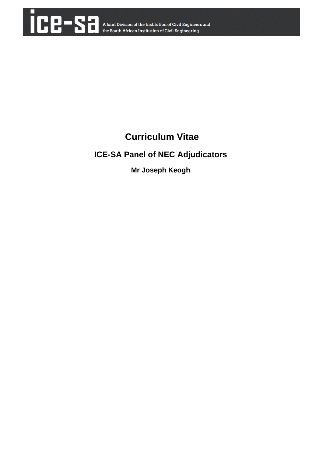

# **Curriculum Vitae**

# **ICE-SA Panel of NEC Adjudicators**

**Mr Joseph Keogh**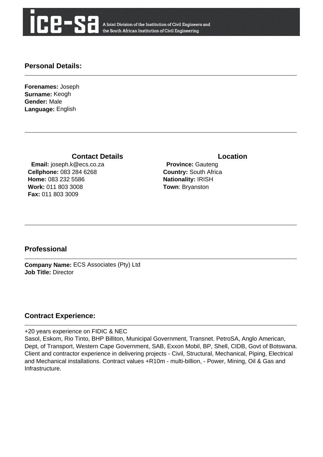

A Joint Division of the Institution of Civil Engineers and the South African Institution of Civil Engineering

### **Personal Details:**

**Forenames:** Joseph **Surname:** Keogh **Gender:** Male **Language:** English

#### **Contact Details Contact Details**

 **Email:** joseph.k@ecs.co.za **Cellphone:** 083 284 6268 **Home:** 083 232 5586 **Work:** 011 803 3008 **Fax:** 011 803 3009

 **Province:** Gauteng **Country:** South Africa **Nationality:** IRISH **Town**: Bryanston

## **Professional**

**Company Name:** ECS Associates (Pty) Ltd **Job Title:** Director

### **Contract Experience:**

+20 years experience on FIDIC & NEC

Sasol, Eskom, Rio Tinto, BHP Billiton, Municipal Government, Transnet. PetroSA, Anglo American, Dept, of Transport, Western Cape Government, SAB, Exxon Mobil, BP, Shell, CIDB, Govt of Botswana. Client and contractor experience in delivering projects - Civil, Structural, Mechanical, Piping, Electrical and Mechanical installations. Contract values +R10m - multi-billion, - Power, Mining, Oil & Gas and Infrastructure.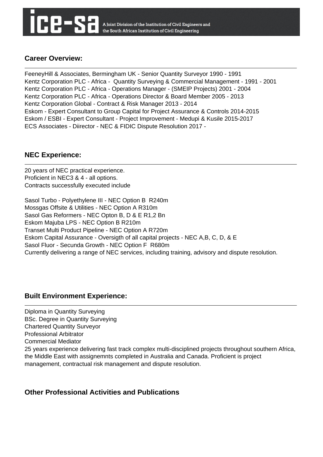A Joint Division of the Institution of Civil Engineers and the South African Institution of Civil Engineering

# **Career Overview:**

FeeneyHill & Associates, Bermingham UK - Senior Quantity Surveyor 1990 - 1991 Kentz Corporation PLC - Africa - Quantity Surveying & Commercial Management - 1991 - 2001 Kentz Corporation PLC - Africa - Operations Manager - (SMEIP Projects) 2001 - 2004 Kentz Corporation PLC - Africa - Operations Director & Board Member 2005 - 2013 Kentz Corporation Global - Contract & Risk Manager 2013 - 2014 Eskom - Expert Consultant to Group Capital for Project Assurance & Controls 2014-2015 Eskom / ESBI - Expert Consultant - Project Improvement - Medupi & Kusile 2015-2017 ECS Associates - Diirector - NEC & FIDIC Dispute Resolution 2017 -

# **NEC Experience:**

20 years of NEC practical experience. Proficient in NEC3 & 4 - all options. Contracts successfully executed include

Sasol Turbo - Polyethylene III - NEC Option B R240m Mossgas Offsite & Utilities - NEC Option A R310m Sasol Gas Reformers - NEC Opton B, D & E R1,2 Bn Eskom Majuba LPS - NEC Option B R210m Transet Multi Product Pipeline - NEC Option A R720m Eskom Capital Assurance - Oversigth of all capital projects - NEC A,B, C, D, & E Sasol Fluor - Secunda Growth - NEC Option F R680m Currently delivering a range of NEC services, including training, advisory and dispute resolution.

# **Built Environment Experience:**

Diploma in Quantity Surveying BSc. Degree in Quantity Surveying Chartered Quantity Surveyor Professional Arbitrator Commercial Mediator 25 years experience delivering fast track complex multi-disciplined projects throughout southern Africa, the Middle East with assignemnts completed in Australia and Canada. Proficient is project management, contractual risk management and dispute resolution.

## **Other Professional Activities and Publications**